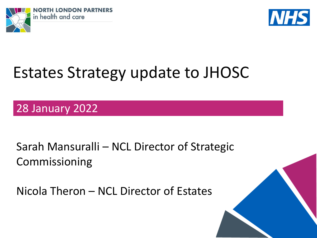



# Estates Strategy update to JHOSC

28 January 2022

Sarah Mansuralli – NCL Director of Strategic Commissioning

Nicola Theron – NCL Director of Estates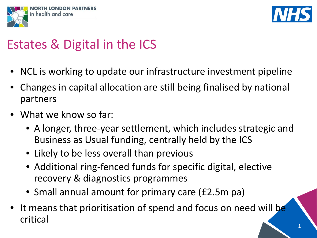



## Estates & Digital in the ICS

- NCL is working to update our infrastructure investment pipeline
- Changes in capital allocation are still being finalised by national partners
- What we know so far:
	- A longer, three-year settlement, which includes strategic and Business as Usual funding, centrally held by the ICS
	- Likely to be less overall than previous
	- Additional ring-fenced funds for specific digital, elective recovery & diagnostics programmes
	- Small annual amount for primary care (£2.5m pa)
- It means that prioritisation of spend and focus on need will be critical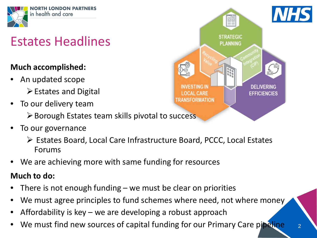

## Estates Headlines

#### **Much accomplished:**

- An updated scope  $\triangleright$  Estates and Digital
- To our delivery team
	- $\triangleright$  Borough Estates team skills pivotal to success
- To our governance
	- Estates Board, Local Care Infrastructure Board, PCCC, Local Estates Forums
- We are achieving more with same funding for resources

#### **Much to do:**

- There is not enough funding  $-$  we must be clear on priorities
- We must agree principles to fund schemes where need, not where money
- Affordability is key  $-$  we are developing a robust approach
- We must find new sources of capital funding for our Primary Care pipeline

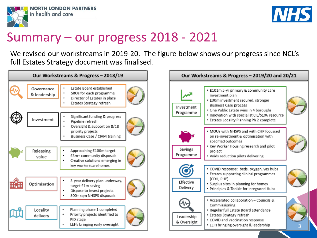



## Summary – our progress 2018 - 2021

We revised our workstreams in 2019-20. The figure below shows our progress since NCL's full Estates Strategy document was finalised.



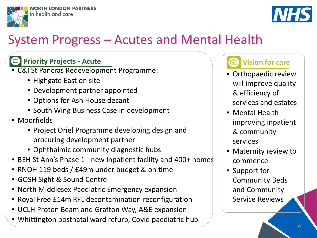



#### System Progress – Acutes and Mental Health

#### **Priority Projects - Acute** 画

- C&I St Pancras Redevelopment Programme:
	- Highgate East on site
	- Development partner appointed
	- Options for Ash House decant
	- South Wing Business Case in development
- Moorfields
	- Project Oriel Programme developing design and procuring development partner
	- Ophthalmic community diagnostic hubs
- BEH St Ann's Phase 1 new inpatient facility and 400+ homes
- RNOH 119 beds / £49m under budget & on time
- GOSH Sight & Sound Centre
- North Middlesex Paediatric Emergency expansion
- Royal Free £14m RFL decontamination reconfiguration
- UCLH Proton Beam and Grafton Way, A&E expansion
- Whittington postnatal ward refurb, Covid paediatric hub

#### **Vision for care**का

- Orthopaedic review will improve quality & efficiency of services and estates
- Mental Health improving inpatient & community services
- Maternity review to commence
- Support for Community Beds and Community Service Reviews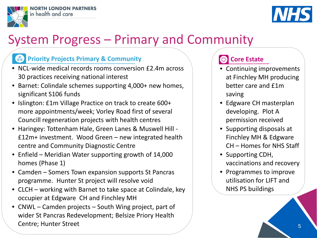



### System Progress – Primary and Community

#### **Priority Projects Primary & Community**

- NCL-wide medical records rooms conversion £2.4m across 30 practices receiving national interest
- Barnet: Colindale schemes supporting 4,000+ new homes, significant S106 funds
- Islington: £1m Village Practice on track to create 600+ more appointments/week; Vorley Road first of several Councill regeneration projects with health centres
- Haringey: Tottenham Hale, Green Lanes & Muswell Hill £12m+ investment. Wood Green – new integrated health centre and Community Diagnostic Centre
- Enfield Meridian Water supporting growth of 14,000 homes (Phase 1)
- Camden Somers Town expansion supports St Pancras programme. Hunter St project will resolve void
- CLCH working with Barnet to take space at Colindale, key occupier at Edgware CH and Finchley MH
- CNWL Camden projects South Wing project, part of wider St Pancras Redevelopment; Belsize Priory Health Centre; Hunter Street

#### **Core Estate**

- Continuing improvements at Finchley MH producing better care and £1m saving
- Edgware CH masterplan developing. Plot A permission received
- Supporting disposals at Finchley MH & Edgware CH – Homes for NHS Staff
- Supporting CDH, vaccinations and recovery
- Programmes to improve utilisation for LIFT and NHS PS buildings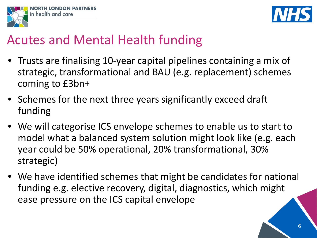



#### Acutes and Mental Health funding

- Trusts are finalising 10-year capital pipelines containing a mix of strategic, transformational and BAU (e.g. replacement) schemes coming to £3bn+
- Schemes for the next three years significantly exceed draft funding
- We will categorise ICS envelope schemes to enable us to start to model what a balanced system solution might look like (e.g. each year could be 50% operational, 20% transformational, 30% strategic)
- We have identified schemes that might be candidates for national funding e.g. elective recovery, digital, diagnostics, which might ease pressure on the ICS capital envelope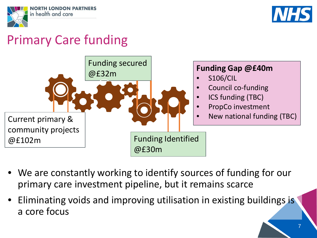



## Primary Care funding



- We are constantly working to identify sources of funding for our primary care investment pipeline, but it remains scarce
- Eliminating voids and improving utilisation in existing buildings is a core focus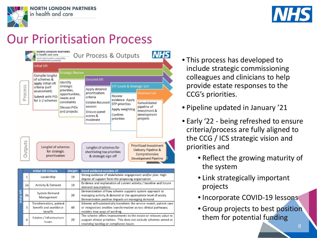

**NORTH LONDON PARTNERS** in health and care



## Our Prioritisation Process



|              |    | <b>Initial Sift Criteria</b>       | Weight | Good evidence consists of:                                          |  |
|--------------|----|------------------------------------|--------|---------------------------------------------------------------------|--|
| Initial Sift | 1  | Leadership                         | 10     | Strong evidence of stakeholder engagement and/or plan. High         |  |
|              |    |                                    |        | degree of support from the proposing organisation                   |  |
|              | 2a | Activity & Demand                  | 10     | Evidence and explanation of current activity / baseline and future  |  |
|              |    |                                    |        | demand assumptions                                                  |  |
|              | 2b | System Demand<br>Management        | 20     | Demonstration of how scheme supports system approach to             |  |
|              |    |                                    |        | managing activity & demand at the appropriate level of acuity.      |  |
|              |    |                                    |        | Demonstrates positive impacts on managing demand                    |  |
|              | 3  | Transformation, patient            |        | Scheme will substantially transform the service model, patient care |  |
|              |    | benefit and workforce<br>40        |        | or integration; enables transformation across clinical pathways;    |  |
|              |    | benefit                            |        | enables new ways of working                                         |  |
|              | 4  | Estates / Infrastructure<br>Issues | 20     | The scheme offers improvements to the estate or releases value to   |  |
|              |    |                                    |        | support clinical priorities. This does not exclude schemes aimed at |  |
|              |    |                                    |        | resolving backlog or compliance issues                              |  |

- This process has developed to include strategic commissioning colleagues and clinicians to help provide estate responses to the CCG's priorities.
- Pipeline updated in January '21
- Early '22 being refreshed to ensure criteria/process are fully aligned to the CCG / ICS strategic vision and priorities and
	- Reflect the growing maturity of the system
	- Link strategically important projects
	- Incorporate COVID-19 lessons
	- Group projects to best position them for potential funding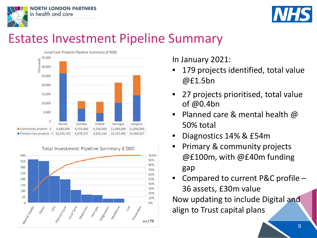



#### Estates Investment Pipeline Summary





In January 2021:

- 179 projects identified, total value @£1.5bn
- 27 projects prioritised, total value of @0.4bn
- **Planned care & mental health**  $\omega$ 50% total
- Diagnostics 14% & £54m
- Primary & community projects @£100m, with @£40m funding gap
- Compared to current P&C profile 36 assets, £30m value

Now updating to include Digital and align to Trust capital plans